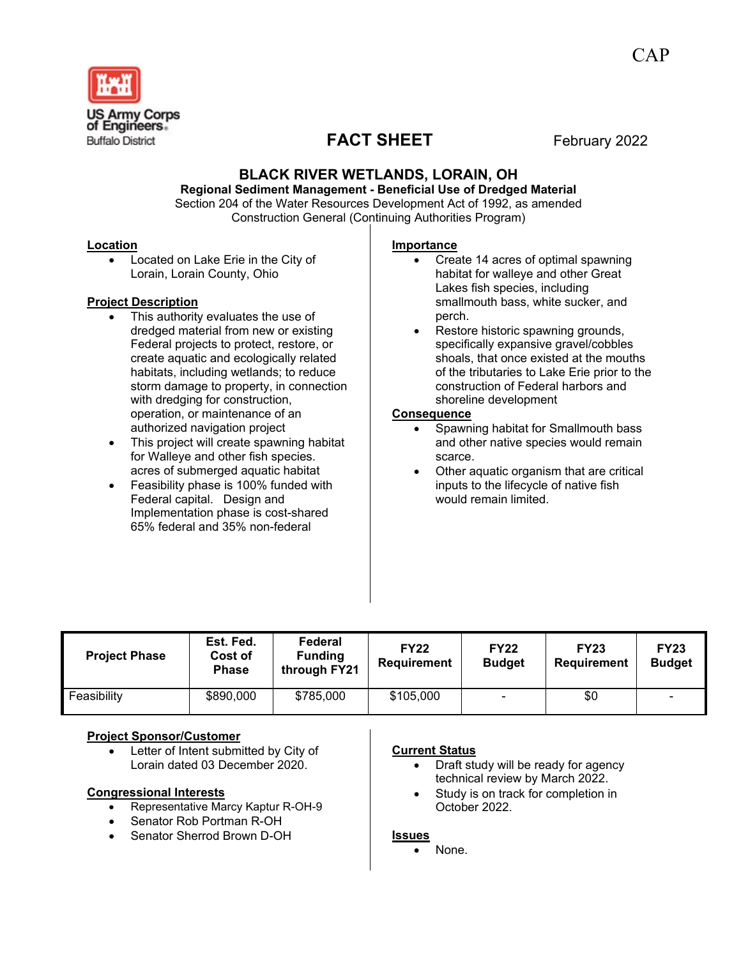

# **FACT SHEET** February 2022

# **BLACK RIVER WETLANDS, LORAIN, OH**

**Regional Sediment Management - Beneficial Use of Dredged Material** Section 204 of the Water Resources Development Act of 1992, as amended Construction General (Continuing Authorities Program)

#### **Location**

Located on Lake Erie in the City of Lorain, Lorain County, Ohio

#### **Project Description**

- This authority evaluates the use of dredged material from new or existing Federal projects to protect, restore, or create aquatic and ecologically related habitats, including wetlands; to reduce storm damage to property, in connection with dredging for construction, operation, or maintenance of an authorized navigation project
- This project will create spawning habitat for Walleye and other fish species. acres of submerged aquatic habitat
- Feasibility phase is 100% funded with Federal capital. Design and Implementation phase is cost-shared 65% federal and 35% non-federal

#### **Importance**

- Create 14 acres of optimal spawning habitat for walleye and other Great Lakes fish species, including smallmouth bass, white sucker, and perch.
- Restore historic spawning grounds, specifically expansive gravel/cobbles shoals, that once existed at the mouths of the tributaries to Lake Erie prior to the construction of Federal harbors and shoreline development

#### **Consequence**

- Spawning habitat for Smallmouth bass and other native species would remain scarce.
- Other aquatic organism that are critical inputs to the lifecycle of native fish would remain limited.

| <b>Project Phase</b> | Est. Fed.<br>Cost of<br><b>Phase</b> | Federal<br><b>Funding</b><br>through FY21 | <b>FY22</b><br><b>Requirement</b> | <b>FY22</b><br><b>Budget</b> | <b>FY23</b><br><b>Requirement</b> | <b>FY23</b><br><b>Budget</b> |
|----------------------|--------------------------------------|-------------------------------------------|-----------------------------------|------------------------------|-----------------------------------|------------------------------|
| Feasibility          | \$890,000                            | \$785,000                                 | \$105,000                         |                              | \$0                               | $\overline{\phantom{a}}$     |

# **Project Sponsor/Customer**

Letter of Intent submitted by City of Lorain dated 03 December 2020.

# **Congressional Interests**

- Representative Marcy Kaptur R-OH-9
- Senator Rob Portman R-OH
- Senator Sherrod Brown D-OH

# **Current Status**

- Draft study will be ready for agency technical review by March 2022.
- Study is on track for completion in October 2022.

#### **Issues**

None.